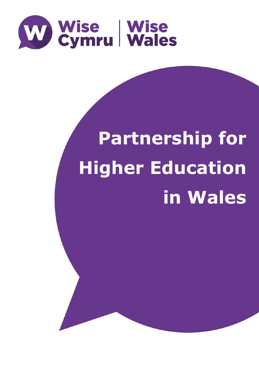

# **Partnership for Higher Education in Wales**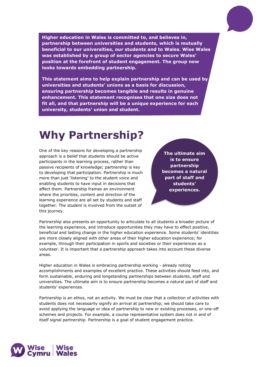**Higher education in Wales is committed to, and believes in, partnership between universities and students, which is mutually beneficial to our universities, our students and to Wales. Wise Wales was established by a group of sector agencies to secure Wales' position at the forefront of student engagement. The group now looks towards embedding partnership.**

**This statement aims to help explain partnership and can be used by universities and students' unions as a basis for discussion, ensuring partnership becomes tangible and results in genuine enhancement. This statement recognises that one size does not fit all, and that partnership will be a unique experience for each university, students' union and student.**

#### **Why Partnership?**

One of the key reasons for developing a partnership approach is a belief that students should be active participants in the learning process, rather than passive recipients of knowledge; partnership is key to developing that participation. Partnership is much more than just 'listening' to the student voice and enabling students to have input in decisions that affect them. Partnership frames an environment where the priorities, content and direction of the learning experience are all set by students and staff together. The student is involved from the outset of this journey.

**The ultimate aim is to ensure partnership becomes a natural part of staff and students' experiences.**

Partnership also presents an opportunity to articulate to all students a broader picture of the learning experience, and introduce opportunities they may have to effect positive, beneficial and lasting change in the higher education experience. Some students' identities are more closely aligned with other areas of their higher education experience; for example, through their participation in sports and societies or their experiences as a volunteer. It is important that a partnership approach takes into account these diverse areas.

Higher education in Wales is embracing partnership working - already noting accomplishments and examples of excellent practice. These activities should feed into, and form sustainable, enduring and longstanding partnerships between students, staff and universities. The ultimate aim is to ensure partnership becomes a natural part of staff and students' experiences.

Partnership is an ethos, not an activity. We must be clear that a collection of activities with students does not necessarily signify an arrival at partnership; we should take care to avoid applying the language or idea of partnership to new or existing processes, or one-off schemes and projects. For example, a course representative system does not in and of itself signal partnership. Partnership is a goal of student engagement practice.

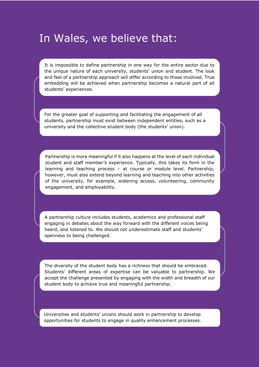### In Wales, we believe that:

It is impossible to define partnership in one way for the entire sector due to the unique nature of each university, students' union and student. The look and feel of a partnership approach will differ according to those involved. True embedding will be achieved when partnership becomes a natural part of all students' experiences.

For the greater goal of supporting and facilitating the engagement of all students, partnership must exist between independent entities, such as a university and the collective student body (the students' union).

Partnership is more meaningful if it also happens at the level of each individual student and staff member's experience. Typically, this takes its form in the learning and teaching process – at course or module level. Partnership, however, must also extend beyond learning and teaching into other activities of the university, for example, widening access, volunteering, community engagement, and employability.

A partnership culture includes students, academics and professional staff engaging in debates about the way forward with the different voices being heard, and listened to. We should not underestimate staff and students' openness to being challenged.

The diversity of the student body has a richness that should be embraced. Students' different areas of expertise can be valuable to partnership. We accept the challenge presented by engaging with the width and breadth of our student body to achieve true and meaningful partnership.

Universities and students' unions should work in partnership to develop opportunities for students to engage in quality enhancement processes.